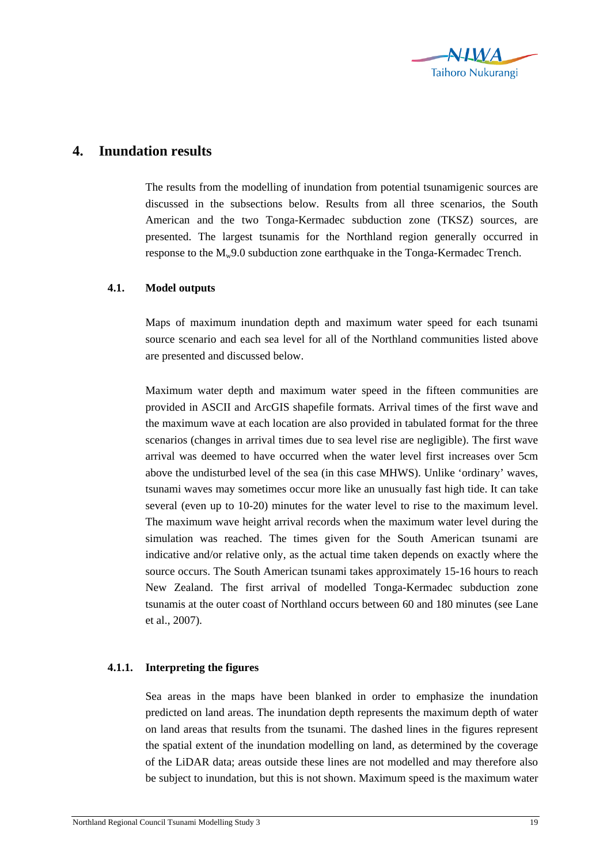

## **4. Inundation results**

The results from the modelling of inundation from potential tsunamigenic sources are discussed in the subsections below. Results from all three scenarios, the South American and the two Tonga-Kermadec subduction zone (TKSZ) sources, are presented. The largest tsunamis for the Northland region generally occurred in response to the  $M_w$ 9.0 subduction zone earthquake in the Tonga-Kermadec Trench.

## **4.1. Model outputs**

Maps of maximum inundation depth and maximum water speed for each tsunami source scenario and each sea level for all of the Northland communities listed above are presented and discussed below.

Maximum water depth and maximum water speed in the fifteen communities are provided in ASCII and ArcGIS shapefile formats. Arrival times of the first wave and the maximum wave at each location are also provided in tabulated format for the three scenarios (changes in arrival times due to sea level rise are negligible). The first wave arrival was deemed to have occurred when the water level first increases over 5cm above the undisturbed level of the sea (in this case MHWS). Unlike 'ordinary' waves, tsunami waves may sometimes occur more like an unusually fast high tide. It can take several (even up to 10-20) minutes for the water level to rise to the maximum level. The maximum wave height arrival records when the maximum water level during the simulation was reached. The times given for the South American tsunami are indicative and/or relative only, as the actual time taken depends on exactly where the source occurs. The South American tsunami takes approximately 15-16 hours to reach New Zealand. The first arrival of modelled Tonga-Kermadec subduction zone tsunamis at the outer coast of Northland occurs between 60 and 180 minutes (see Lane et al., 2007).

## **4.1.1. Interpreting the figures**

Sea areas in the maps have been blanked in order to emphasize the inundation predicted on land areas. The inundation depth represents the maximum depth of water on land areas that results from the tsunami. The dashed lines in the figures represent the spatial extent of the inundation modelling on land, as determined by the coverage of the LiDAR data; areas outside these lines are not modelled and may therefore also be subject to inundation, but this is not shown. Maximum speed is the maximum water